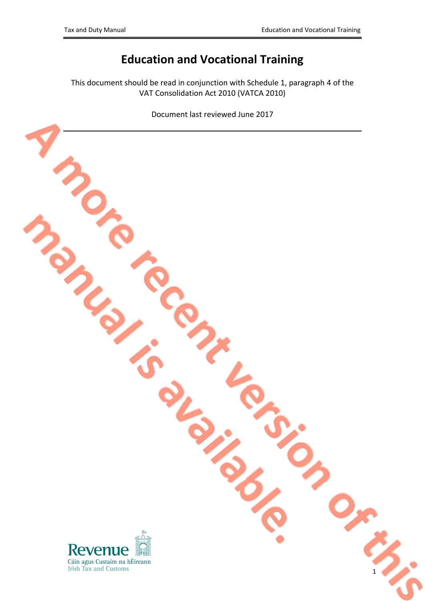# **Education and Vocational Training**

This document should be read in conjunction with Schedule 1, paragraph 4 of the VAT Consolidation Act 2010 (VATCA 2010)

Document last reviewed June 2017

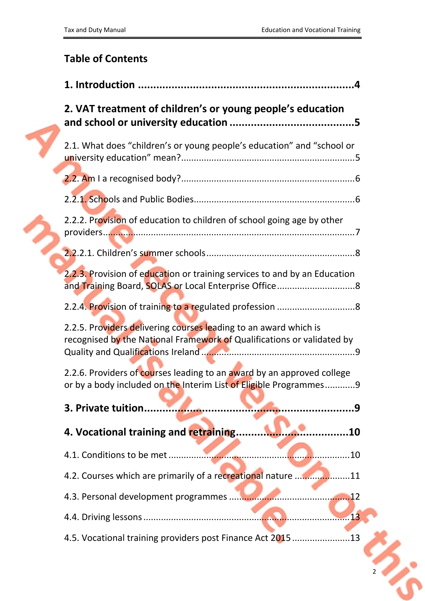## **Table of Contents**

| 2. VAT treatment of children's or young people's education                                                                                  |  |
|---------------------------------------------------------------------------------------------------------------------------------------------|--|
| 2.1. What does "children's or young people's education" and "school or                                                                      |  |
|                                                                                                                                             |  |
|                                                                                                                                             |  |
| 2.2.2. Provision of education to children of school going age by other                                                                      |  |
|                                                                                                                                             |  |
| 2.2.3. Provision of education or training services to and by an Education                                                                   |  |
|                                                                                                                                             |  |
| 2.2.5. Providers delivering courses leading to an award which is<br>recognised by the National Framework of Qualifications or validated by  |  |
| 2.2.6. Providers of courses leading to an award by an approved college<br>or by a body included on the Interim List of Eligible Programmes9 |  |
| 3. Private tuition                                                                                                                          |  |
| 4. Vocational training and retraining.<br>10                                                                                                |  |
| 4.1. Conditions to be met<br>10                                                                                                             |  |
| 4.2. Courses which are primarily of a recreational nature<br>.11                                                                            |  |
| 4.3. Personal development programmes<br>12                                                                                                  |  |
| 13                                                                                                                                          |  |
| 4.5. Vocational training providers post Finance Act 2015 13                                                                                 |  |
|                                                                                                                                             |  |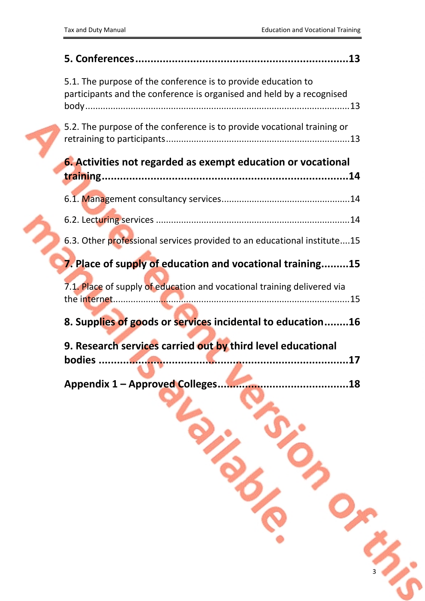| 5.1. The purpose of the conference is to provide education to<br>participants and the conference is organised and held by a recognised |
|----------------------------------------------------------------------------------------------------------------------------------------|
| 5.2. The purpose of the conference is to provide vocational training or                                                                |
| <b>6.</b> Activities not regarded as exempt education or vocational                                                                    |
|                                                                                                                                        |
|                                                                                                                                        |
|                                                                                                                                        |
| 6.3. Other professional services provided to an educational institute15                                                                |
| 7. Place of supply of education and vocational training15                                                                              |
| 7.1. Place of supply of education and vocational training delivered via                                                                |
|                                                                                                                                        |
| 8. Supplies of goods or services incidental to education16                                                                             |
| 9. Research services carried out by third level educational                                                                            |
|                                                                                                                                        |
|                                                                                                                                        |
|                                                                                                                                        |

**Principles** 

33

O<sub>m</sub>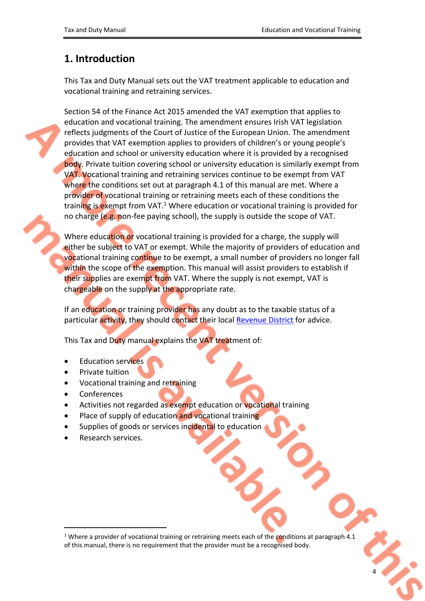## <span id="page-3-0"></span>**1. Introduction**

This Tax and Duty Manual sets out the VAT treatment applicable to education and vocational training and retraining services.

Section 54 of the Finance Act 2015 amended the VAT exemption that applies to education and vocational training. The amendment ensures Irish VAT legislation reflects judgments of the Court of Justice of the European Union. The amendment provides that VAT exemption applies to providers of children's or young people's education and school or university education where it is provided by a recognised body. Private tuition covering school or university education is similarly exempt from VAT. Vocational training and retraining services continue to be exempt from VAT where the conditions set out at paragraph 4.1 of this manual are met. Where a provider of vocational training or retraining meets each of these conditions the training is exempt from VAT.<sup>1</sup> Where education or vocational training is provided for no charge (e.g. non-fee paying school), the supply is outside the scope of VAT.

Where education or vocational training is provided for a charge, the supply will either be subject to VAT or exempt. While the majority of providers of education and vocational training continue to be exempt, a small number of providers no longer fall within the scope of the exemption. This manual will assist providers to establish if their supplies are exempt from VAT. Where the supply is not exempt, VAT is chargeable on the supply at the appropriate rate.

If an education or training provider has any doubt as to the taxable status of a particular activity, they should contact their local [Revenue](http://www.revenue.ie/en/contact-us/index.aspx) [District](http://www.revenue.ie/en/contact-us/index.aspx) for advice.

This Tax and Duty manual explains the VAT treatment of:

- Education services
- Private tuition
- Vocational training and retraining
- Conferences
- Activities not regarded as exempt education or vocational training
- Place of supply of education and vocational training
- Supplies of goods or services incidental to education
- Research services.

<sup>&</sup>lt;sup>1</sup> Where a provider of vocational training or retraining meets each of the conditions at paragraph 4.1 of this manual, there is no requirement that the provider must be a recognised body.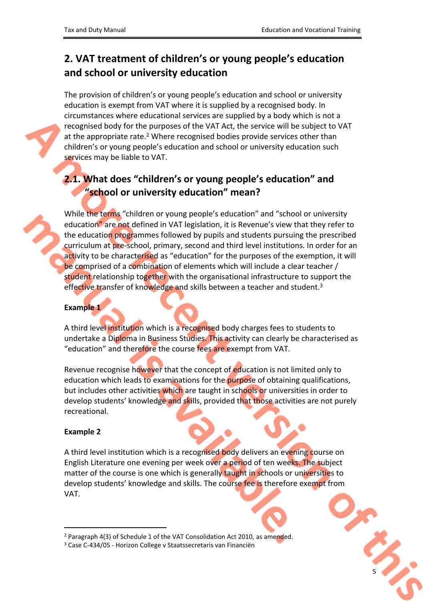# <span id="page-4-0"></span>**2. VAT treatment of children's or young people's education and school or university education**

The provision of children's or young people's education and school or university education is exempt from VAT where it is supplied by a recognised body. In circumstances where educational services are supplied by a body which is not a recognised body for the purposes of the VAT Act, the service will be subject to VAT at the appropriate rate.<sup>2</sup> Where recognised bodies provide services other than children's or young people's education and school or university education such services may be liable to VAT.

# <span id="page-4-1"></span>**2.1. What does "children's or young people's education" and "school or university education" mean?**

While the terms "children or young people's education" and "school or university education" are not defined in VAT legislation, it is Revenue's view that they refer to the education programmes followed by pupils and students pursuing the prescribed curriculum at pre-school, primary, second and third level institutions. In order for an activity to be characterised as "education" for the purposes of the exemption, it will be comprised of a combination of elements which will include a clear teacher / student relationship together with the organisational infrastructure to support the effective transfer of knowledge and skills between a teacher and student.<sup>3</sup>

#### **Example 1**

A third level institution which is a recognised body charges fees to students to undertake a Diploma in Business Studies. This activity can clearly be characterised as "education" and therefore the course fees are exempt from VAT.

Revenue recognise however that the concept of education is not limited only to education which leads to examinations for the purpose of obtaining qualifications, but includes other activities which are taught in schools or universities in order to develop students' knowledge and skills, provided that those activities are not purely recreational.

#### **Example 2**

A third level institution which is a recognised body delivers an evening course on English Literature one evening per week over a period of ten weeks. The subject matter of the course is one which is generally taught in schools or universities to develop students' knowledge and skills. The course fee is therefore exempt from VAT.



<sup>2</sup> Paragraph 4(3) of Schedule 1 of the VAT Consolidation Act 2010, as amended.

<sup>3</sup> Case C-434/05 - Horizon College v Staatssecretaris van Financiën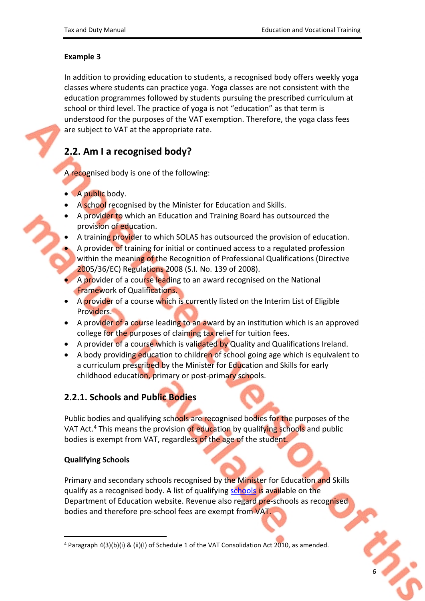### **Example 3**

In addition to providing education to students, a recognised body offers weekly yoga classes where students can practice yoga. Yoga classes are not consistent with the education programmes followed by students pursuing the prescribed curriculum at school or third level. The practice of yoga is not "education" as that term is understood for the purposes of the VAT exemption. Therefore, the yoga class fees are subject to VAT at the appropriate rate.

## <span id="page-5-0"></span>**2.2. Am I a recognised body?**

A recognised body is one of the following:

- A public body.
- A school recognised by the Minister for Education and Skills.
- A provider to which an Education and Training Board has outsourced the provision of education.
- A training provider to which SOLAS has outsourced the provision of education.
- A provider of training for initial or continued access to a regulated profession within the meaning of the Recognition of Professional Qualifications (Directive 2005/36/EC) Regulations 2008 (S.I. No. 139 of 2008).
- A provider of a course leading to an award recognised on the National Framework of Qualifications.
- A provider of a course which is currently listed on the Interim List of Eligible Providers.
- A provider of a course leading to an award by an institution which is an approved college for the purposes of claiming tax relief for tuition fees.
- A provider of a course which is validated by Quality and Qualifications Ireland.
- A body providing education to children of school going age which is equivalent to a curriculum prescribed by the Minister for Education and Skills for early childhood education, primary or post-primary schools.

## <span id="page-5-1"></span>**2.2.1. Schools and Public Bodies**

Public bodies and qualifying schools are recognised bodies for the purposes of the VAT Act.<sup>4</sup> This means the provision of education by qualifying schools and public bodies is exempt from VAT, regardless of the age of the student.

### **Qualifying Schools**

Primary and secondary schools recognised by the Minister for Education and Skills qualify as a recognised body. A list of qualifying [schools](http://www.education.ie/en/find-a-school) is available on the Department of Education website. Revenue also regard pre-schools as recognised bodies and therefore pre-school fees are exempt from VAT.

<sup>&</sup>lt;sup>4</sup> Paragraph  $4(3)(b)(i)$  &  $(ii)(l)$  of Schedule 1 of the VAT Consolidation Act 2010, as amended.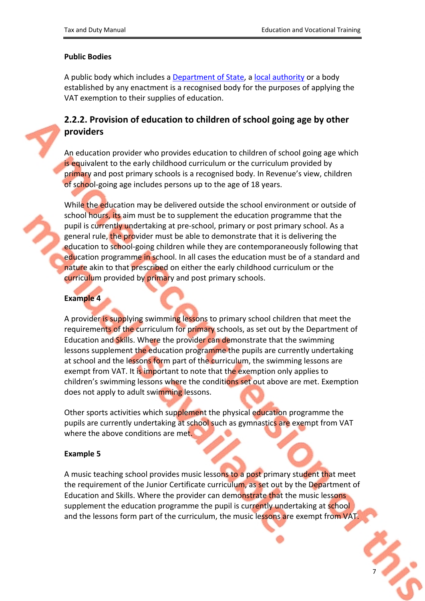7

#### **Public Bodies**

A public body which includes a [Department](http://www.citizensinformation.ie/en/government_in_ireland/government_departments/departments_of_state.html) [of](http://www.citizensinformation.ie/en/government_in_ireland/government_departments/departments_of_state.html) [State](http://www.citizensinformation.ie/en/government_in_ireland/government_departments/departments_of_state.html), a [local](http://www.lgcsb.ie/en/irish-local-government) [authority](http://www.lgcsb.ie/en/irish-local-government) or a body established by any enactment is a recognised body for the purposes of applying the VAT exemption to their supplies of education.

## <span id="page-6-0"></span>**2.2.2. Provision of education to children of school going age by other providers**

An education provider who provides education to children of school going age which is equivalent to the early childhood curriculum or the curriculum provided by primary and post primary schools is a recognised body. In Revenue's view, children of school-going age includes persons up to the age of 18 years.

While the education may be delivered outside the school environment or outside of school hours, its aim must be to supplement the education programme that the pupil is currently undertaking at pre-school, primary or post primary school. As a general rule, the provider must be able to demonstrate that it is delivering the education to school-going children while they are contemporaneously following that education programme in school. In all cases the education must be of a standard and nature akin to that prescribed on either the early childhood curriculum or the curriculum provided by primary and post primary schools.

#### **Example 4**

A provider is supplying swimming lessons to primary school children that meet the requirements of the curriculum for primary schools, as set out by the Department of Education and Skills. Where the provider can demonstrate that the swimming lessons supplement the education programme the pupils are currently undertaking at school and the lessons form part of the curriculum, the swimming lessons are exempt from VAT. It is important to note that the exemption only applies to children's swimming lessons where the conditions set out above are met. Exemption does not apply to adult swimming lessons.

Other sports activities which supplement the physical education programme the pupils are currently undertaking at school such as gymnastics are exempt from VAT where the above conditions are met.

#### **Example 5**

A music teaching school provides music lessons to a post primary student that meet the requirement of the Junior Certificate curriculum, as set out by the Department of Education and Skills. Where the provider can demonstrate that the music lessons supplement the education programme the pupil is currently undertaking at school and the lessons form part of the curriculum, the music lessons are exempt from VAT.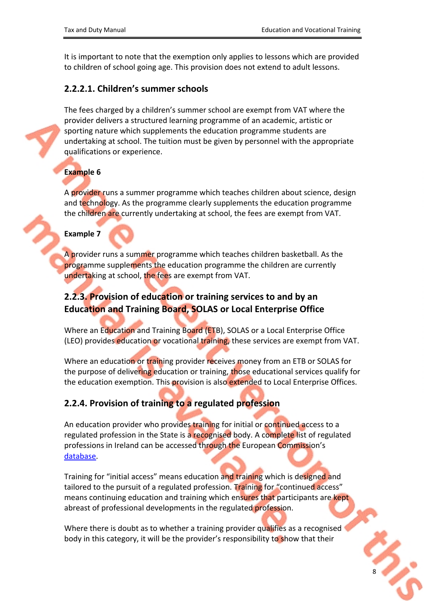It is important to note that the exemption only applies to lessons which are provided to children of school going age. This provision does not extend to adult lessons.

#### <span id="page-7-0"></span>**2.2.2.1. Children's summer schools**

The fees charged by a children's summer school are exempt from VAT where the provider delivers a structured learning programme of an academic, artistic or sporting nature which supplements the education programme students are undertaking at school. The tuition must be given by personnel with the appropriate qualifications or experience.

### **Example 6**

A provider runs a summer programme which teaches children about science, design and technology. As the programme clearly supplements the education programme the children are currently undertaking at school, the fees are exempt from VAT.

#### **Example 7**

A provider runs a summer programme which teaches children basketball. As the programme supplements the education programme the children are currently undertaking at school, the fees are exempt from VAT.

### <span id="page-7-1"></span>**2.2.3. Provision of education or training services to and by an Education and Training Board, SOLAS or Local Enterprise Office**

Where an Education and Training Board (ETB), SOLAS or a Local Enterprise Office (LEO) provides education or vocational training, these services are exempt from VAT.

Where an education or training provider receives money from an ETB or SOLAS for the purpose of delivering education or training, those educational services qualify for the education exemption. This provision is also extended to Local Enterprise Offices.

### <span id="page-7-2"></span>**2.2.4. Provision of training to a regulated profession**

An education provider who provides training for initial or continued access to a regulated profession in the State is a recognised body. A complete list of regulated professions in Ireland can be accessed through the European Commission's [database.](http://ec.europa.eu/growth/tools-databases/regprof/index.cfm?action=regprofs&id_country=7&quid=1&mode=asc&pagenum=1&maxrows=15#top)

Training for "initial access" means education and training which is designed and tailored to the pursuit of a regulated profession. Training for "continued access" means continuing education and training which ensures that participants are kept abreast of professional developments in the regulated profession.

Where there is doubt as to whether a training provider qualifies as a recognised body in this category, it will be the provider's responsibility to show that their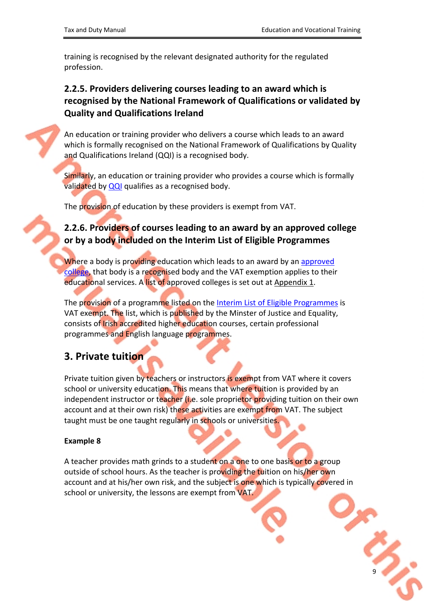9

training is recognised by the relevant designated authority for the regulated profession.

## <span id="page-8-0"></span>**2.2.5. Providers delivering courses leading to an award which is recognised by the National Framework of Qualifications or validated by Quality and Qualifications Ireland**

An education or training provider who delivers a course which leads to an award which is formally recognised on the National Framework of Qualifications by Quality and Qualifications Ireland (QQI) is a recognised body.

Similarly, an education or training provider who provides a course which is formally validated by [QQI](http://qsearch.qqi.ie/WebPart/Search?searchtype=providers) qualifies as a recognised body.

The provision of education by these providers is exempt from VAT.

### <span id="page-8-1"></span>**2.2.6. Providers of courses leading to an award by an approved college or by a body included on the Interim List of Eligible Programmes**

Where a body is providing education which leads to an award by an [approved](http://www.revenue.ie/en/personal-tax-credits-reliefs-and-exemptions/education/tuition-fees-paid-for-third-level-education/approved-colleges-and-courses.aspx) [college](http://www.revenue.ie/en/personal-tax-credits-reliefs-and-exemptions/education/tuition-fees-paid-for-third-level-education/approved-colleges-and-courses.aspx), that body is a recognised body and the VAT exemption applies to their educational services. A list of approved colleges is set out at [Appendix](#page-17-0) [1](#page-17-0).

The provision of a programme listed on the [Interim](http://www.inis.gov.ie/en/INIS/Pages/Interim%20List%20of%20Eligible%20Programmes%20-%20ILEP) [List](http://www.inis.gov.ie/en/INIS/Pages/Interim%20List%20of%20Eligible%20Programmes%20-%20ILEP) [of](http://www.inis.gov.ie/en/INIS/Pages/Interim%20List%20of%20Eligible%20Programmes%20-%20ILEP) [Eligible](http://www.inis.gov.ie/en/INIS/Pages/Interim%20List%20of%20Eligible%20Programmes%20-%20ILEP) [Programmes](http://www.inis.gov.ie/en/INIS/Pages/Interim%20List%20of%20Eligible%20Programmes%20-%20ILEP) is VAT exempt. The list, which is published by the Minster of Justice and Equality, consists of Irish accredited higher education courses, certain professional programmes and English language programmes.

## <span id="page-8-2"></span>**3. Private tuition**

Private tuition given by teachers or instructors is exempt from VAT where it covers school or university education. This means that where tuition is provided by an independent instructor or teacher (i.e. sole proprietor providing tuition on their own account and at their own risk) these activities are exempt from VAT. The subject taught must be one taught regularly in schools or universities.

#### **Example 8**

A teacher provides math grinds to a student on a one to one basis or to a group outside of school hours. As the teacher is providing the tuition on his/her own account and at his/her own risk, and the subject is one which is typically covered in school or university, the lessons are exempt from VAT.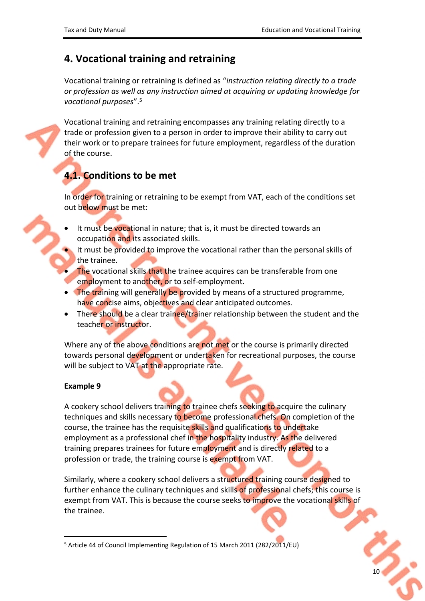## <span id="page-9-0"></span>**4. Vocational training and retraining**

Vocational training or retraining is defined as "*instruction relating directly to a trade or profession as well as any instruction aimed at acquiring or updating knowledge for vocational purposes*".<sup>5</sup>

Vocational training and retraining encompasses any training relating directly to a trade or profession given to a person in order to improve their ability to carry out their work or to prepare trainees for future employment, regardless of the duration of the course.

## <span id="page-9-1"></span>**4.1. Conditions to be met**

In order for training or retraining to be exempt from VAT, each of the conditions set out below must be met:

- It must be vocational in nature; that is, it must be directed towards an occupation and its associated skills.
- It must be provided to improve the vocational rather than the personal skills of the trainee.
- The vocational skills that the trainee acquires can be transferable from one employment to another, or to self-employment.
- The training will generally be provided by means of a structured programme, have concise aims, objectives and clear anticipated outcomes.
- There should be a clear trainee/trainer relationship between the student and the teacher or instructor.

Where any of the above conditions are not met or the course is primarily directed towards personal development or undertaken for recreational purposes, the course will be subject to VAT at the appropriate rate.

#### **Example 9**

A cookery school delivers training to trainee chefs seeking to acquire the culinary techniques and skills necessary to become professional chefs. On completion of the course, the trainee has the requisite skills and qualifications to undertake employment as a professional chef in the hospitality industry. As the delivered training prepares trainees for future employment and is directly related to a profession or trade, the training course is exempt from VAT.

Similarly, where a cookery school delivers a structured training course designed to further enhance the culinary techniques and skills of professional chefs; this course is exempt from VAT. This is because the course seeks to improve the vocational skills of the trainee.

<sup>5</sup> Article 44 of Council Implementing Regulation of 15 March 2011 (282/2011/EU)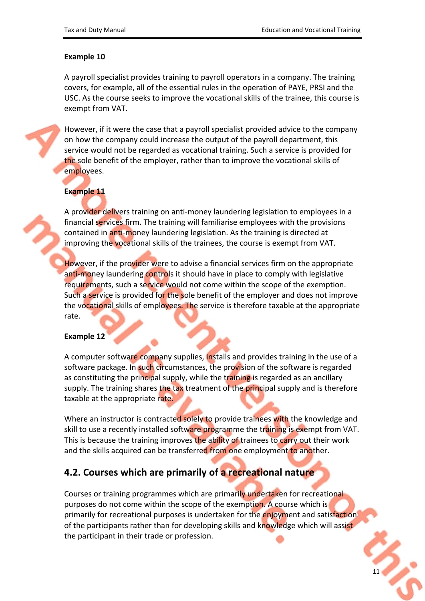#### **Example 10**

A payroll specialist provides training to payroll operators in a company. The training covers, for example, all of the essential rules in the operation of PAYE, PRSI and the USC. As the course seeks to improve the vocational skills of the trainee, this course is exempt from VAT.

However, if it were the case that a payroll specialist provided advice to the company on how the company could increase the output of the payroll department, this service would not be regarded as vocational training. Such a service is provided for the sole benefit of the employer, rather than to improve the vocational skills of employees.

#### **Example 11**

A provider delivers training on anti-money laundering legislation to employees in a financial services firm. The training will familiarise employees with the provisions contained in anti-money laundering legislation. As the training is directed at improving the vocational skills of the trainees, the course is exempt from VAT.

However, if the provider were to advise a financial services firm on the appropriate anti-money laundering controls it should have in place to comply with legislative requirements, such a service would not come within the scope of the exemption. Such a service is provided for the sole benefit of the employer and does not improve the vocational skills of employees. The service is therefore taxable at the appropriate rate.

#### **Example 12**

A computer software company supplies, installs and provides training in the use of a software package. In such circumstances, the provision of the software is regarded as constituting the principal supply, while the training is regarded as an ancillary supply. The training shares the tax treatment of the principal supply and is therefore taxable at the appropriate rate.

Where an instructor is contracted solely to provide trainees with the knowledge and skill to use a recently installed software programme the training is exempt from VAT. This is because the training improves the ability of trainees to carry out their work and the skills acquired can be transferred from one employment to another.

### <span id="page-10-0"></span>**4.2. Courses which are primarily of a recreational nature**

Courses or training programmes which are primarily undertaken for recreational purposes do not come within the scope of the exemption. A course which is primarily for recreational purposes is undertaken for the enjoyment and satisfaction of the participants rather than for developing skills and knowledge which will assist the participant in their trade or profession.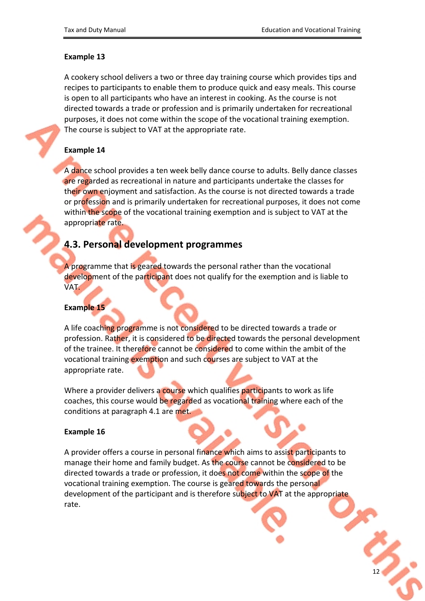#### **Example 13**

A cookery school delivers a two or three day training course which provides tips and recipes to participants to enable them to produce quick and easy meals. This course is open to all participants who have an interest in cooking. As the course is not directed towards a trade or profession and is primarily undertaken for recreational purposes, it does not come within the scope of the vocational training exemption. The course is subject to VAT at the appropriate rate.

#### **Example 14**

A dance school provides a ten week belly dance course to adults. Belly dance classes are regarded as recreational in nature and participants undertake the classes for their own enjoyment and satisfaction. As the course is not directed towards a trade or profession and is primarily undertaken for recreational purposes, it does not come within the scope of the vocational training exemption and is subject to VAT at the appropriate rate.

### <span id="page-11-0"></span>**4.3. Personal development programmes**

A programme that is geared towards the personal rather than the vocational development of the participant does not qualify for the exemption and is liable to VAT.

#### **Example 15**

A life coaching programme is not considered to be directed towards a trade or profession. Rather, it is considered to be directed towards the personal development of the trainee. It therefore cannot be considered to come within the ambit of the vocational training exemption and such courses are subject to VAT at the appropriate rate.

Where a provider delivers a course which qualifies participants to work as life coaches, this course would be regarded as vocational training where each of the conditions at paragraph 4.1 are met.

#### **Example 16**

A provider offers a course in personal finance which aims to assist participants to manage their home and family budget. As the course cannot be considered to be directed towards a trade or profession, it does not come within the scope of the vocational training exemption. The course is geared towards the personal development of the participant and is therefore subject to VAT at the appropriate rate.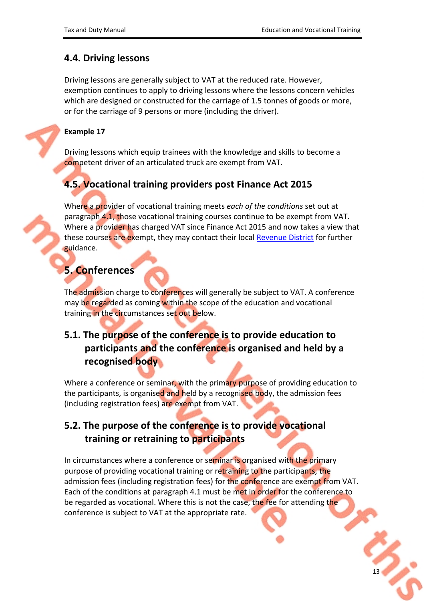### <span id="page-12-0"></span>**4.4. Driving lessons**

Driving lessons are generally subject to VAT at the reduced rate. However, exemption continues to apply to driving lessons where the lessons concern vehicles which are designed or constructed for the carriage of 1.5 tonnes of goods or more, or for the carriage of 9 persons or more (including the driver).

#### **Example 17**

Driving lessons which equip trainees with the knowledge and skills to become a competent driver of an articulated truck are exempt from VAT.

## <span id="page-12-1"></span>**4.5. Vocational training providers post Finance Act 2015**

Where a provider of vocational training meets *each of the conditions* set out at paragraph 4.1, those vocational training courses continue to be exempt from VAT. Where a provider has charged VAT since Finance Act 2015 and now takes a view that these courses are exempt, they may contact their local [Revenue](http://www.revenue.ie/en/contact-us/index.aspx) [District](http://www.revenue.ie/en/contact-us/index.aspx) for further guidance.

## <span id="page-12-2"></span>**5. Conferences**

The admission charge to conferences will generally be subject to VAT. A conference may be regarded as coming within the scope of the education and vocational training in the circumstances set out below.

## <span id="page-12-3"></span>**5.1. The purpose of the conference is to provide education to participants and the conference is organised and held by a recognised body**

Where a conference or seminar, with the primary purpose of providing education to the participants, is organised and held by a recognised body, the admission fees (including registration fees) are exempt from VAT.

## <span id="page-12-4"></span>**5.2. The purpose of the conference is to provide vocational training or retraining to participants**

In circumstances where a conference or seminar is organised with the primary purpose of providing vocational training or retraining to the participants, the admission fees (including registration fees) for the conference are exempt from VAT. Each of the conditions at paragraph 4.1 must be met in order for the conference to be regarded as vocational. Where this is not the case, the fee for attending the conference is subject to VAT at the appropriate rate.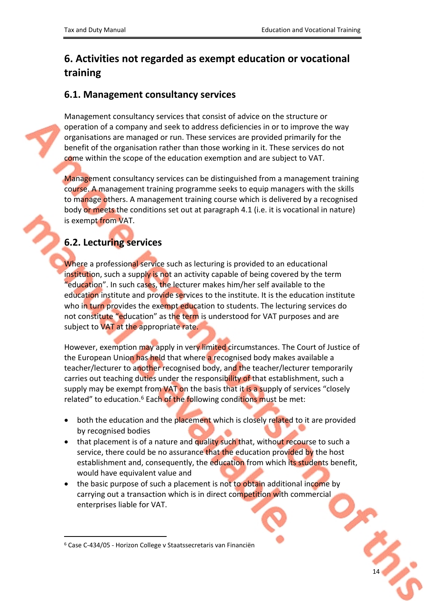## <span id="page-13-0"></span>**6. Activities not regarded as exempt education or vocational training**

### <span id="page-13-1"></span>**6.1. Management consultancy services**

Management consultancy services that consist of advice on the structure or operation of a company and seek to address deficiencies in or to improve the way organisations are managed or run. These services are provided primarily for the benefit of the organisation rather than those working in it. These services do not come within the scope of the education exemption and are subject to VAT.

Management consultancy services can be distinguished from a management training course. A management training programme seeks to equip managers with the skills to manage others. A management training course which is delivered by a recognised body or meets the conditions set out at paragraph 4.1 (i.e. it is vocational in nature) is exempt from VAT.

## <span id="page-13-2"></span>**6.2. Lecturing services**

Where a professional service such as lecturing is provided to an educational institution, such a supply is not an activity capable of being covered by the term "education". In such cases, the lecturer makes him/her self available to the education institute and provide services to the institute. It is the education institute who in turn provides the exempt education to students. The lecturing services do not constitute "education" as the term is understood for VAT purposes and are subject to VAT at the appropriate rate.

However, exemption may apply in very limited circumstances. The Court of Justice of the European Union has held that where a recognised body makes available a teacher/lecturer to another recognised body, and the teacher/lecturer temporarily carries out teaching duties under the responsibility of that establishment, such a supply may be exempt from VAT on the basis that it is a supply of services "closely related" to education.<sup>6</sup> Each of the following conditions must be met:

- both the education and the placement which is closely related to it are provided by recognised bodies
- that placement is of a nature and quality such that, without recourse to such a service, there could be no assurance that the education provided by the host establishment and, consequently, the education from which its students benefit, would have equivalent value and
- the basic purpose of such a placement is not to obtain additional income by carrying out a transaction which is in direct competition with commercial enterprises liable for VAT.

<sup>6</sup> Case C-434/05 - Horizon College v Staatssecretaris van Financiën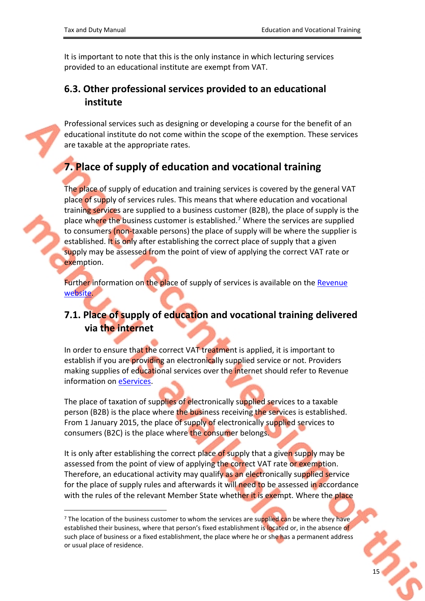It is important to note that this is the only instance in which lecturing services provided to an educational institute are exempt from VAT.

### <span id="page-14-0"></span>**6.3. Other professional services provided to an educational institute**

Professional services such as designing or developing a course for the benefit of an educational institute do not come within the scope of the exemption. These services are taxable at the appropriate rates.

## <span id="page-14-1"></span>**7. Place of supply of education and vocational training**

The place of supply of education and training services is covered by the general VAT place of supply of services rules. This means that where education and vocational training services are supplied to a business customer (B2B), the place of supply is the place where the business customer is established.<sup>7</sup> Where the services are supplied to consumers (non-taxable persons) the place of supply will be where the supplier is established. It is only after establishing the correct place of supply that a given supply may be assessed from the point of view of applying the correct VAT rate or exemption.

Further information on the place of supply of services is available on the [Revenue](http://www.revenue.ie/en/vat/vat-on-services/when-is-vat-charged-on-services/general-place-of-supply-rules-for-services.aspx) [website](http://www.revenue.ie/en/vat/vat-on-services/when-is-vat-charged-on-services/general-place-of-supply-rules-for-services.aspx).

## <span id="page-14-2"></span>**7.1. Place of supply of education and vocational training delivered via the internet**

In order to ensure that the correct VAT treatment is applied, it is important to establish if you are providing an electronically supplied service or not. Providers making supplies of educational services over the internet should refer to Revenue information on [eServices.](http://www.revenue.ie/en/vat/vat-on-services/vat-and-electronically-supplied-services/index.aspx)

The place of taxation of supplies of electronically supplied services to a taxable person (B2B) is the place where the business receiving the services is established. From 1 January 2015, the place of supply of electronically supplied services to consumers (B2C) is the place where the consumer belongs.

It is only after establishing the correct place of supply that a given supply may be assessed from the point of view of applying the correct VAT rate or exemption. Therefore, an educational activity may qualify as an electronically supplied service for the place of supply rules and afterwards it will need to be assessed in accordance with the rules of the relevant Member State whether it is exempt. Where the place

<sup>&</sup>lt;sup>7</sup> The location of the business customer to whom the services are supplied can be where they have established their business, where that person's fixed establishment is located or, in the absence of such place of business or a fixed establishment, the place where he or she has a permanent address or usual place of residence.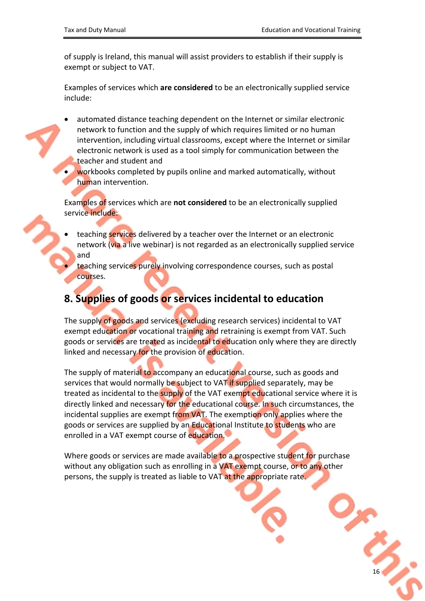of supply is Ireland, this manual will assist providers to establish if their supply is exempt or subject to VAT.

Examples of services which **are considered** to be an electronically supplied service include:

- automated distance teaching dependent on the Internet or similar electronic network to function and the supply of which requires limited or no human intervention, including virtual classrooms, except where the Internet or similar electronic network is used as a tool simply for communication between the teacher and student and
- workbooks completed by pupils online and marked automatically, without human intervention.

Examples of services which are **not considered** to be an electronically supplied service include:

- teaching services delivered by a teacher over the Internet or an electronic network (via a live webinar) is not regarded as an electronically supplied service and
	- teaching services purely involving correspondence courses, such as postal courses.

## <span id="page-15-0"></span>**8. Supplies of goods or services incidental to education**

The supply of goods and services (excluding research services) incidental to VAT exempt education or vocational training and retraining is exempt from VAT. Such goods or services are treated as incidental to education only where they are directly linked and necessary for the provision of education.

The supply of material to accompany an educational course, such as goods and services that would normally be subject to VAT if supplied separately, may be treated as incidental to the supply of the VAT exempt educational service where it is directly linked and necessary for the educational course. In such circumstances, the incidental supplies are exempt from VAT. The exemption only applies where the goods or services are supplied by an Educational Institute to students who are enrolled in a VAT exempt course of education.

Where goods or services are made available to a prospective student for purchase without any obligation such as enrolling in a VAT exempt course, or to any other persons, the supply is treated as liable to VAT at the appropriate rate.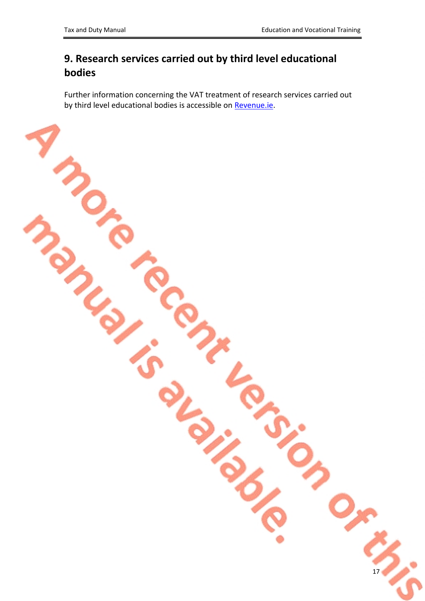# <span id="page-16-0"></span>**9. Research services carried out by third level educational bodies**

Further information concerning the VAT treatment of research services carried out by third level educational bodies is accessible on [Revenue.ie.](http://www.revenue.ie/en/vat/vat-on-services/education/research-services-carried-out-by-third-level-educational-bodies.aspx)